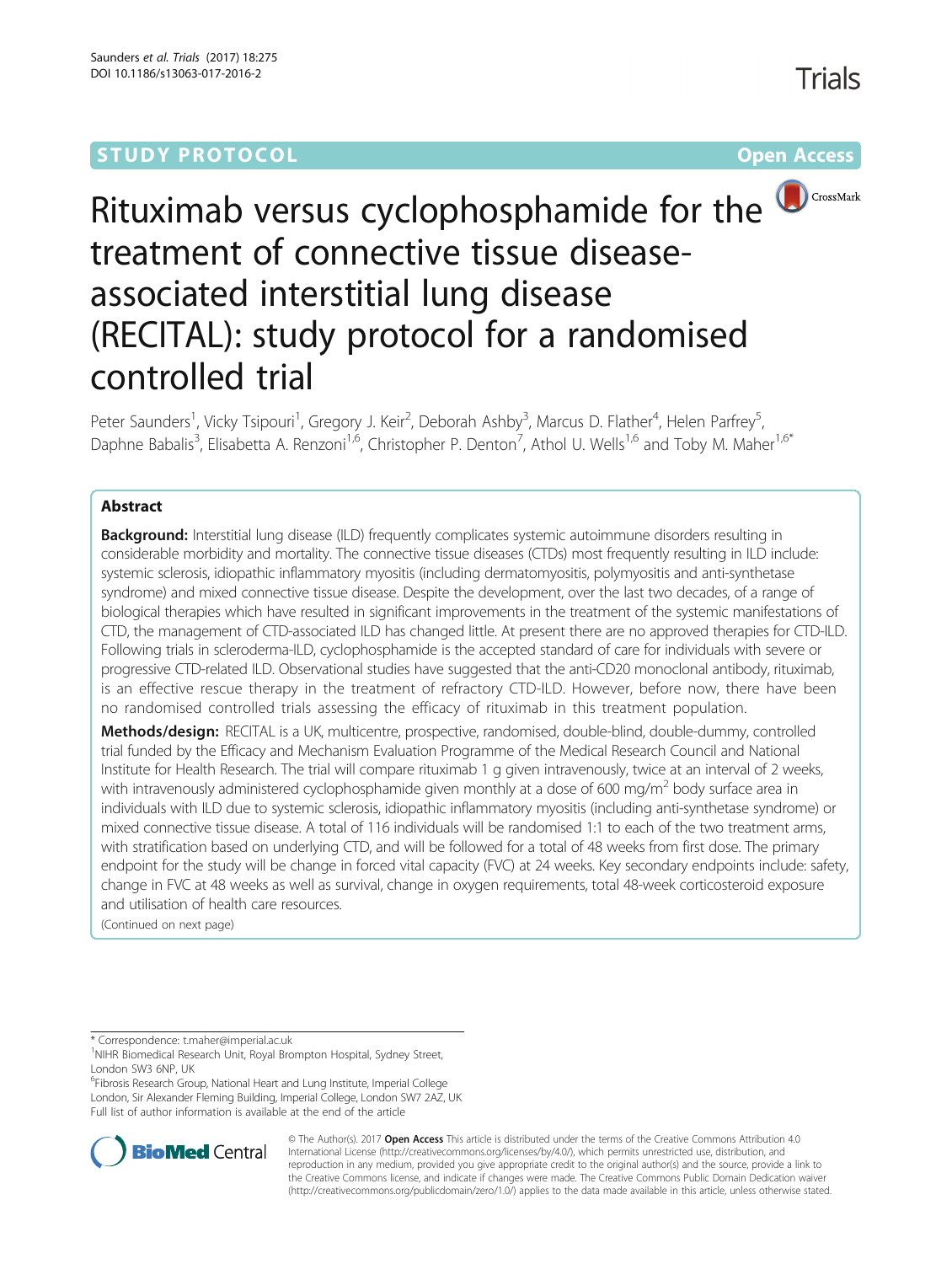## **STUDY PROTOCOL CONSUMING THE RESERVE ACCESS**



# Rituximab versus cyclophosphamide for the **D**CrossMark treatment of connective tissue diseaseassociated interstitial lung disease (RECITAL): study protocol for a randomised controlled trial

Peter Saunders<sup>1</sup>, Vicky Tsipouri<sup>1</sup>, Gregory J. Keir<sup>2</sup>, Deborah Ashby<sup>3</sup>, Marcus D. Flather<sup>4</sup>, Helen Parfrey<sup>5</sup> , Daphne Babalis<sup>3</sup>, Elisabetta A. Renzoni<sup>1,6</sup>, Christopher P. Denton<sup>7</sup>, Athol U. Wells<sup>1,6</sup> and Toby M. Maher<sup>1,6\*</sup>

## Abstract

**Background:** Interstitial lung disease (ILD) frequently complicates systemic autoimmune disorders resulting in considerable morbidity and mortality. The connective tissue diseases (CTDs) most frequently resulting in ILD include: systemic sclerosis, idiopathic inflammatory myositis (including dermatomyositis, polymyositis and anti-synthetase syndrome) and mixed connective tissue disease. Despite the development, over the last two decades, of a range of biological therapies which have resulted in significant improvements in the treatment of the systemic manifestations of CTD, the management of CTD-associated ILD has changed little. At present there are no approved therapies for CTD-ILD. Following trials in scleroderma-ILD, cyclophosphamide is the accepted standard of care for individuals with severe or progressive CTD-related ILD. Observational studies have suggested that the anti-CD20 monoclonal antibody, rituximab, is an effective rescue therapy in the treatment of refractory CTD-ILD. However, before now, there have been no randomised controlled trials assessing the efficacy of rituximab in this treatment population.

Methods/design: RECITAL is a UK, multicentre, prospective, randomised, double-blind, double-dummy, controlled trial funded by the Efficacy and Mechanism Evaluation Programme of the Medical Research Council and National Institute for Health Research. The trial will compare rituximab 1 g given intravenously, twice at an interval of 2 weeks, with intravenously administered cyclophosphamide given monthly at a dose of 600 mg/m<sup>2</sup> body surface area in individuals with ILD due to systemic sclerosis, idiopathic inflammatory myositis (including anti-synthetase syndrome) or mixed connective tissue disease. A total of 116 individuals will be randomised 1:1 to each of the two treatment arms, with stratification based on underlying CTD, and will be followed for a total of 48 weeks from first dose. The primary endpoint for the study will be change in forced vital capacity (FVC) at 24 weeks. Key secondary endpoints include: safety, change in FVC at 48 weeks as well as survival, change in oxygen requirements, total 48-week corticosteroid exposure and utilisation of health care resources.

(Continued on next page)

\* Correspondence: [t.maher@imperial.ac.uk](mailto:t.maher@imperial.ac.uk) <sup>1</sup>

<sup>6</sup>Fibrosis Research Group, National Heart and Lung Institute, Imperial College London, Sir Alexander Fleming Building, Imperial College, London SW7 2AZ, UK Full list of author information is available at the end of the article



© The Author(s). 2017 **Open Access** This article is distributed under the terms of the Creative Commons Attribution 4.0 International License [\(http://creativecommons.org/licenses/by/4.0/](http://creativecommons.org/licenses/by/4.0/)), which permits unrestricted use, distribution, and reproduction in any medium, provided you give appropriate credit to the original author(s) and the source, provide a link to the Creative Commons license, and indicate if changes were made. The Creative Commons Public Domain Dedication waiver [\(http://creativecommons.org/publicdomain/zero/1.0/](http://creativecommons.org/publicdomain/zero/1.0/)) applies to the data made available in this article, unless otherwise stated.

<sup>&</sup>lt;sup>1</sup>NIHR Biomedical Research Unit, Royal Brompton Hospital, Sydney Street, London SW3 6NP, UK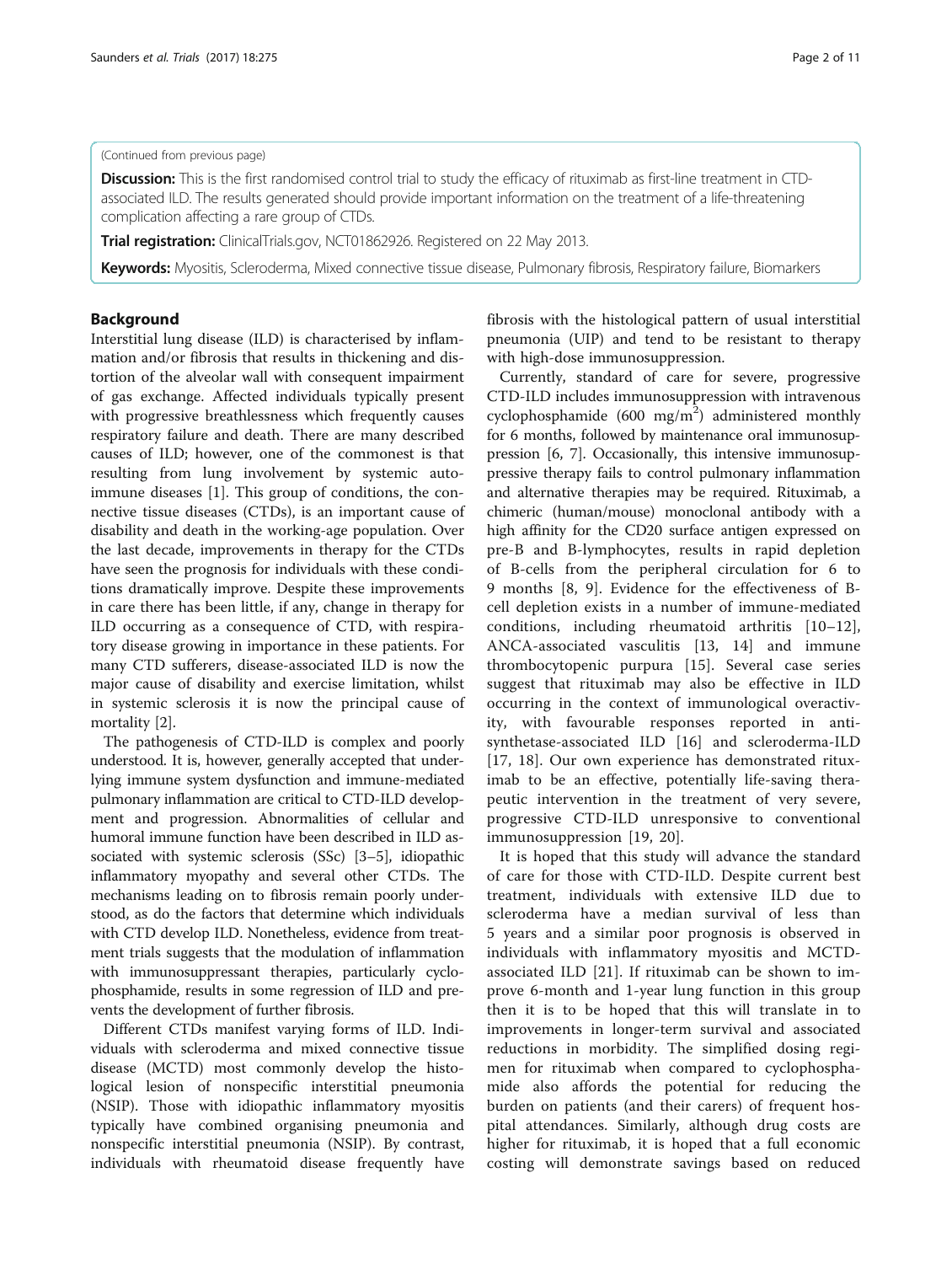#### (Continued from previous page)

Discussion: This is the first randomised control trial to study the efficacy of rituximab as first-line treatment in CTDassociated ILD. The results generated should provide important information on the treatment of a life-threatening complication affecting a rare group of CTDs.

Trial registration: ClinicalTrials.gov, NCT01862926. Registered on 22 May 2013.

Keywords: Myositis, Scleroderma, Mixed connective tissue disease, Pulmonary fibrosis, Respiratory failure, Biomarkers

## Background

Interstitial lung disease (ILD) is characterised by inflammation and/or fibrosis that results in thickening and distortion of the alveolar wall with consequent impairment of gas exchange. Affected individuals typically present with progressive breathlessness which frequently causes respiratory failure and death. There are many described causes of ILD; however, one of the commonest is that resulting from lung involvement by systemic autoimmune diseases [\[1](#page-9-0)]. This group of conditions, the connective tissue diseases (CTDs), is an important cause of disability and death in the working-age population. Over the last decade, improvements in therapy for the CTDs have seen the prognosis for individuals with these conditions dramatically improve. Despite these improvements in care there has been little, if any, change in therapy for ILD occurring as a consequence of CTD, with respiratory disease growing in importance in these patients. For many CTD sufferers, disease-associated ILD is now the major cause of disability and exercise limitation, whilst in systemic sclerosis it is now the principal cause of mortality [\[2\]](#page-10-0).

The pathogenesis of CTD-ILD is complex and poorly understood. It is, however, generally accepted that underlying immune system dysfunction and immune-mediated pulmonary inflammation are critical to CTD-ILD development and progression. Abnormalities of cellular and humoral immune function have been described in ILD associated with systemic sclerosis (SSc) [[3](#page-10-0)–[5](#page-10-0)], idiopathic inflammatory myopathy and several other CTDs. The mechanisms leading on to fibrosis remain poorly understood, as do the factors that determine which individuals with CTD develop ILD. Nonetheless, evidence from treatment trials suggests that the modulation of inflammation with immunosuppressant therapies, particularly cyclophosphamide, results in some regression of ILD and prevents the development of further fibrosis.

Different CTDs manifest varying forms of ILD. Individuals with scleroderma and mixed connective tissue disease (MCTD) most commonly develop the histological lesion of nonspecific interstitial pneumonia (NSIP). Those with idiopathic inflammatory myositis typically have combined organising pneumonia and nonspecific interstitial pneumonia (NSIP). By contrast, individuals with rheumatoid disease frequently have fibrosis with the histological pattern of usual interstitial pneumonia (UIP) and tend to be resistant to therapy with high-dose immunosuppression.

Currently, standard of care for severe, progressive CTD-ILD includes immunosuppression with intravenous cyclophosphamide (600 mg/m<sup>2</sup>) administered monthly for 6 months, followed by maintenance oral immunosuppression [\[6](#page-10-0), [7](#page-10-0)]. Occasionally, this intensive immunosuppressive therapy fails to control pulmonary inflammation and alternative therapies may be required. Rituximab, a chimeric (human/mouse) monoclonal antibody with a high affinity for the CD20 surface antigen expressed on pre-B and B-lymphocytes, results in rapid depletion of B-cells from the peripheral circulation for 6 to 9 months [\[8](#page-10-0), [9\]](#page-10-0). Evidence for the effectiveness of Bcell depletion exists in a number of immune-mediated conditions, including rheumatoid arthritis [[10](#page-10-0)–[12](#page-10-0)], ANCA-associated vasculitis [[13, 14](#page-10-0)] and immune thrombocytopenic purpura [[15\]](#page-10-0). Several case series suggest that rituximab may also be effective in ILD occurring in the context of immunological overactivity, with favourable responses reported in antisynthetase-associated ILD [\[16](#page-10-0)] and scleroderma-ILD [[17, 18](#page-10-0)]. Our own experience has demonstrated rituximab to be an effective, potentially life-saving therapeutic intervention in the treatment of very severe, progressive CTD-ILD unresponsive to conventional immunosuppression [\[19](#page-10-0), [20\]](#page-10-0).

It is hoped that this study will advance the standard of care for those with CTD-ILD. Despite current best treatment, individuals with extensive ILD due to scleroderma have a median survival of less than 5 years and a similar poor prognosis is observed in individuals with inflammatory myositis and MCTDassociated ILD [\[21](#page-10-0)]. If rituximab can be shown to improve 6-month and 1-year lung function in this group then it is to be hoped that this will translate in to improvements in longer-term survival and associated reductions in morbidity. The simplified dosing regimen for rituximab when compared to cyclophosphamide also affords the potential for reducing the burden on patients (and their carers) of frequent hospital attendances. Similarly, although drug costs are higher for rituximab, it is hoped that a full economic costing will demonstrate savings based on reduced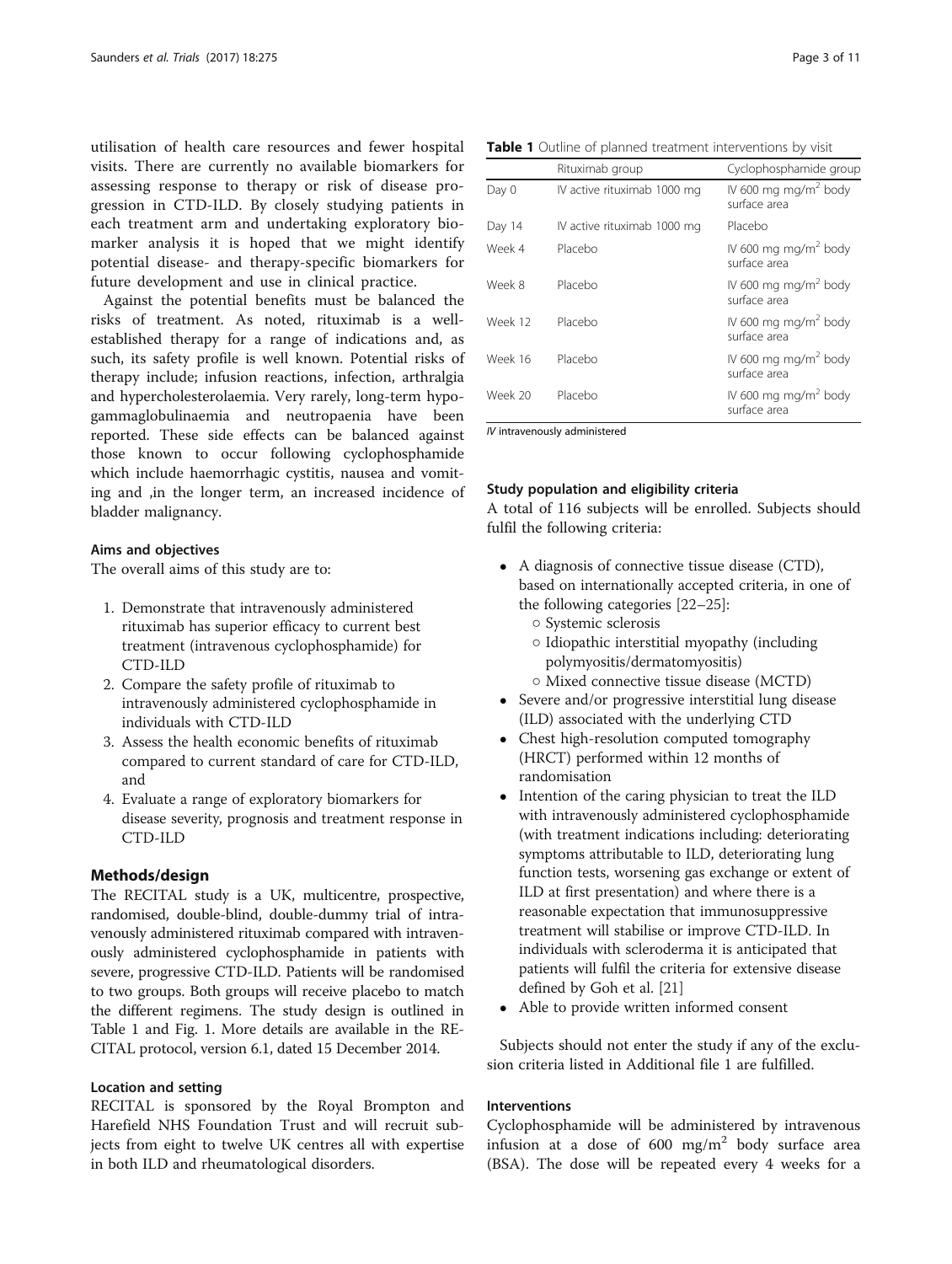utilisation of health care resources and fewer hospital visits. There are currently no available biomarkers for assessing response to therapy or risk of disease progression in CTD-ILD. By closely studying patients in each treatment arm and undertaking exploratory biomarker analysis it is hoped that we might identify potential disease- and therapy-specific biomarkers for future development and use in clinical practice.

Against the potential benefits must be balanced the risks of treatment. As noted, rituximab is a wellestablished therapy for a range of indications and, as such, its safety profile is well known. Potential risks of therapy include; infusion reactions, infection, arthralgia and hypercholesterolaemia. Very rarely, long-term hypogammaglobulinaemia and neutropaenia have been reported. These side effects can be balanced against those known to occur following cyclophosphamide which include haemorrhagic cystitis, nausea and vomiting and ,in the longer term, an increased incidence of bladder malignancy.

#### Aims and objectives

The overall aims of this study are to:

- 1. Demonstrate that intravenously administered rituximab has superior efficacy to current best treatment (intravenous cyclophosphamide) for CTD-ILD
- 2. Compare the safety profile of rituximab to intravenously administered cyclophosphamide in individuals with CTD-ILD
- 3. Assess the health economic benefits of rituximab compared to current standard of care for CTD-ILD, and
- 4. Evaluate a range of exploratory biomarkers for disease severity, prognosis and treatment response in CTD-ILD

#### Methods/design

The RECITAL study is a UK, multicentre, prospective, randomised, double-blind, double-dummy trial of intravenously administered rituximab compared with intravenously administered cyclophosphamide in patients with severe, progressive CTD-ILD. Patients will be randomised to two groups. Both groups will receive placebo to match the different regimens. The study design is outlined in Table 1 and Fig. [1](#page-3-0). More details are available in the RE-CITAL protocol, version 6.1, dated 15 December 2014.

## Location and setting

RECITAL is sponsored by the Royal Brompton and Harefield NHS Foundation Trust and will recruit subjects from eight to twelve UK centres all with expertise in both ILD and rheumatological disorders.

|  | Table 1 Outline of planned treatment interventions by visit |  |  |
|--|-------------------------------------------------------------|--|--|
|--|-------------------------------------------------------------|--|--|

|         | Rituximab group             | Cyclophosphamide group                           |  |  |  |  |
|---------|-----------------------------|--------------------------------------------------|--|--|--|--|
| Day 0   | IV active rituximab 1000 mg | IV 600 mg mg/m <sup>2</sup> body<br>surface area |  |  |  |  |
| Day 14  | IV active rituximab 1000 mg | Placebo                                          |  |  |  |  |
| Week 4  | Placebo                     | IV 600 mg mg/m <sup>2</sup> body<br>surface area |  |  |  |  |
| Week 8  | Placebo                     | IV 600 mg mg/m <sup>2</sup> body<br>surface area |  |  |  |  |
| Week 12 | Placebo                     | IV 600 mg mg/m <sup>2</sup> body<br>surface area |  |  |  |  |
| Week 16 | Placebo                     | IV 600 mg mg/m <sup>2</sup> body<br>surface area |  |  |  |  |
| Week 20 | Placebo                     | IV 600 mg mg/m <sup>2</sup> body<br>surface area |  |  |  |  |

IV intravenously administered

#### Study population and eligibility criteria

A total of 116 subjects will be enrolled. Subjects should fulfil the following criteria:

- A diagnosis of connective tissue disease (CTD), based on internationally accepted criteria, in one of the following categories [\[22](#page-10-0)–[25](#page-10-0)]:
	- Systemic sclerosis
	- Idiopathic interstitial myopathy (including polymyositis/dermatomyositis)
	- Mixed connective tissue disease (MCTD)
- Severe and/or progressive interstitial lung disease (ILD) associated with the underlying CTD
- Chest high-resolution computed tomography (HRCT) performed within 12 months of randomisation
- Intention of the caring physician to treat the ILD with intravenously administered cyclophosphamide (with treatment indications including: deteriorating symptoms attributable to ILD, deteriorating lung function tests, worsening gas exchange or extent of ILD at first presentation) and where there is a reasonable expectation that immunosuppressive treatment will stabilise or improve CTD-ILD. In individuals with scleroderma it is anticipated that patients will fulfil the criteria for extensive disease defined by Goh et al. [\[21\]](#page-10-0)
- Able to provide written informed consent

Subjects should not enter the study if any of the exclusion criteria listed in Additional file [1](#page-9-0) are fulfilled.

#### Interventions

Cyclophosphamide will be administered by intravenous infusion at a dose of  $600 \text{ mg/m}^2$  body surface area (BSA). The dose will be repeated every 4 weeks for a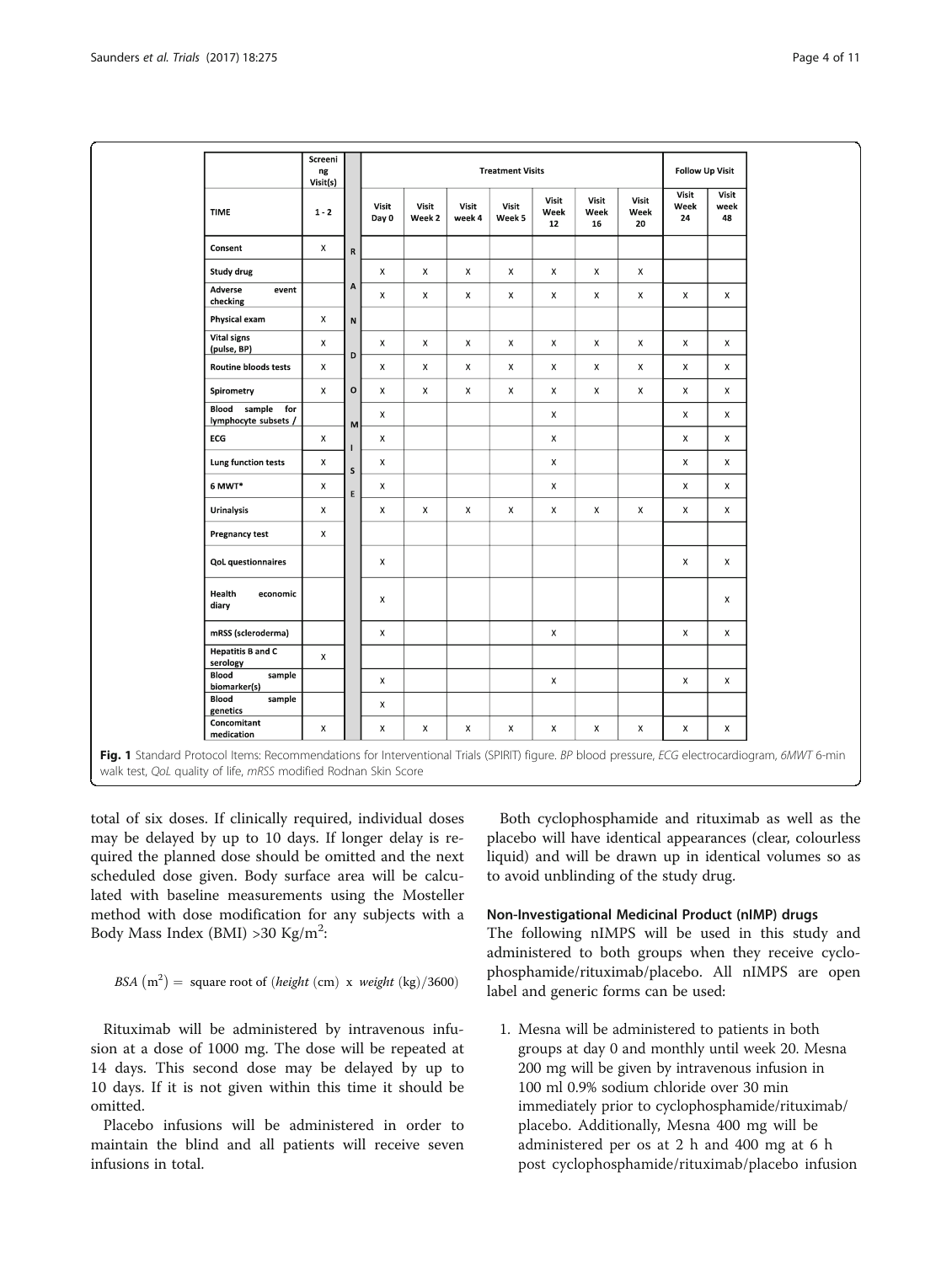<span id="page-3-0"></span>

|                                             | Screeni<br>ng<br>Visit(s) |              | <b>Treatment Visits</b><br><b>Follow Up Visit</b> |                 |                 |                    |                     |                     |                     |                     |                     |
|---------------------------------------------|---------------------------|--------------|---------------------------------------------------|-----------------|-----------------|--------------------|---------------------|---------------------|---------------------|---------------------|---------------------|
| <b>TIME</b>                                 | $1 - 2$                   |              | Visit<br>Day 0                                    | Visit<br>Week 2 | Visit<br>week 4 | Visit<br>Week 5    | Visit<br>Week<br>12 | Visit<br>Week<br>16 | Visit<br>Week<br>20 | Visit<br>Week<br>24 | Visit<br>week<br>48 |
| Consent                                     | $\mathsf X$               | $\mathsf{R}$ |                                                   |                 |                 |                    |                     |                     |                     |                     |                     |
| Study drug                                  |                           |              | $\mathsf{X}$                                      | $\mathsf{X}$    | X               | X                  | X                   | X                   | $\mathsf{X}$        |                     |                     |
| Adverse<br>event<br>checking                |                           | A            | X                                                 | $\mathsf X$     | $\mathsf X$     | $\mathsf X$        | X                   | X                   | $\mathsf X$         | $\mathsf X$         | $\mathsf X$         |
| Physical exam                               | x                         | N            |                                                   |                 |                 |                    |                     |                     |                     |                     |                     |
| <b>Vital signs</b><br>(pulse, BP)           | $\pmb{\times}$            | D            | $\mathsf X$                                       | x               | $\mathsf X$     | $\pmb{\times}$     | $\mathsf X$         | x                   | $\mathsf X$         | $\pmb{\times}$      | $\mathsf X$         |
| <b>Routine bloods tests</b>                 | X                         |              | $\mathsf{X}$                                      | $\mathsf X$     | X               | x                  | X                   | X                   | $\mathsf{X}$        | X                   | $\mathsf{X}$        |
| Spirometry                                  | X                         | o            | X                                                 | x               | $\mathsf X$     | $\pmb{\mathsf{X}}$ | X                   | X                   | $\mathsf X$         | X                   | X                   |
| Blood sample<br>for<br>lymphocyte subsets / |                           | M            | X                                                 |                 |                 |                    | X                   |                     |                     | X                   | X                   |
| ECG                                         | $\mathsf X$               |              | X                                                 |                 |                 |                    | $\mathsf X$         |                     |                     | X                   | X                   |
| Lung function tests                         | x                         | $\sf S$      | X                                                 |                 |                 |                    | X                   |                     |                     | X                   | $\mathsf X$         |
| 6 MWT*                                      | $\mathsf X$               | E            | X                                                 |                 |                 |                    | X                   |                     |                     | X                   | $\mathsf{X}$        |
| <b>Urinalysis</b>                           | X                         |              | X                                                 | $\mathsf{X}$    | X               | $\pmb{\times}$     | X                   | X                   | $\mathsf{X}$        | X                   | X                   |
| <b>Pregnancy test</b>                       | X                         |              |                                                   |                 |                 |                    |                     |                     |                     |                     |                     |
| <b>QoL</b> questionnaires                   |                           |              | X                                                 |                 |                 |                    |                     |                     |                     | X                   | X                   |
| Health<br>economic<br>diary                 |                           |              | $\mathsf X$                                       |                 |                 |                    |                     |                     |                     |                     | $\pmb{\times}$      |
| mRSS (scleroderma)                          |                           |              | X                                                 |                 |                 |                    | X                   |                     |                     | X                   | $\mathsf X$         |
| <b>Hepatitis B and C</b><br>serology        | X                         |              |                                                   |                 |                 |                    |                     |                     |                     |                     |                     |
| Blood<br>sample<br>biomarker(s)             |                           |              | $\mathsf X$                                       |                 |                 |                    | $\mathsf X$         |                     |                     | $\mathsf X$         | X                   |
| Blood<br>sample<br>genetics                 |                           |              | X                                                 |                 |                 |                    |                     |                     |                     |                     |                     |
| Concomitant<br>medication                   | X                         |              | X                                                 | X               | X               | x                  | X                   | x                   | $\mathsf X$         | $\mathsf X$         | x                   |

entional Trials (SPIRIT) figure. *BP* blo walk test, QoL quality of life, mRSS modified Rodnan Skin Score

total of six doses. If clinically required, individual doses may be delayed by up to 10 days. If longer delay is required the planned dose should be omitted and the next scheduled dose given. Body surface area will be calculated with baseline measurements using the Mosteller method with dose modification for any subjects with a Body Mass Index (BMI) >30 Kg/m<sup>2</sup>:

BSA 
$$
(m^2)
$$
 = square root of *(height (cm) x weight (kg)/3600)*

Rituximab will be administered by intravenous infusion at a dose of 1000 mg. The dose will be repeated at 14 days. This second dose may be delayed by up to 10 days. If it is not given within this time it should be omitted.

Placebo infusions will be administered in order to maintain the blind and all patients will receive seven infusions in total.

Both cyclophosphamide and rituximab as well as the placebo will have identical appearances (clear, colourless liquid) and will be drawn up in identical volumes so as to avoid unblinding of the study drug.

#### Non-Investigational Medicinal Product (nIMP) drugs

The following nIMPS will be used in this study and administered to both groups when they receive cyclophosphamide/rituximab/placebo. All nIMPS are open label and generic forms can be used:

1. Mesna will be administered to patients in both groups at day 0 and monthly until week 20. Mesna 200 mg will be given by intravenous infusion in 100 ml 0.9% sodium chloride over 30 min immediately prior to cyclophosphamide/rituximab/ placebo. Additionally, Mesna 400 mg will be administered per os at 2 h and 400 mg at 6 h post cyclophosphamide/rituximab/placebo infusion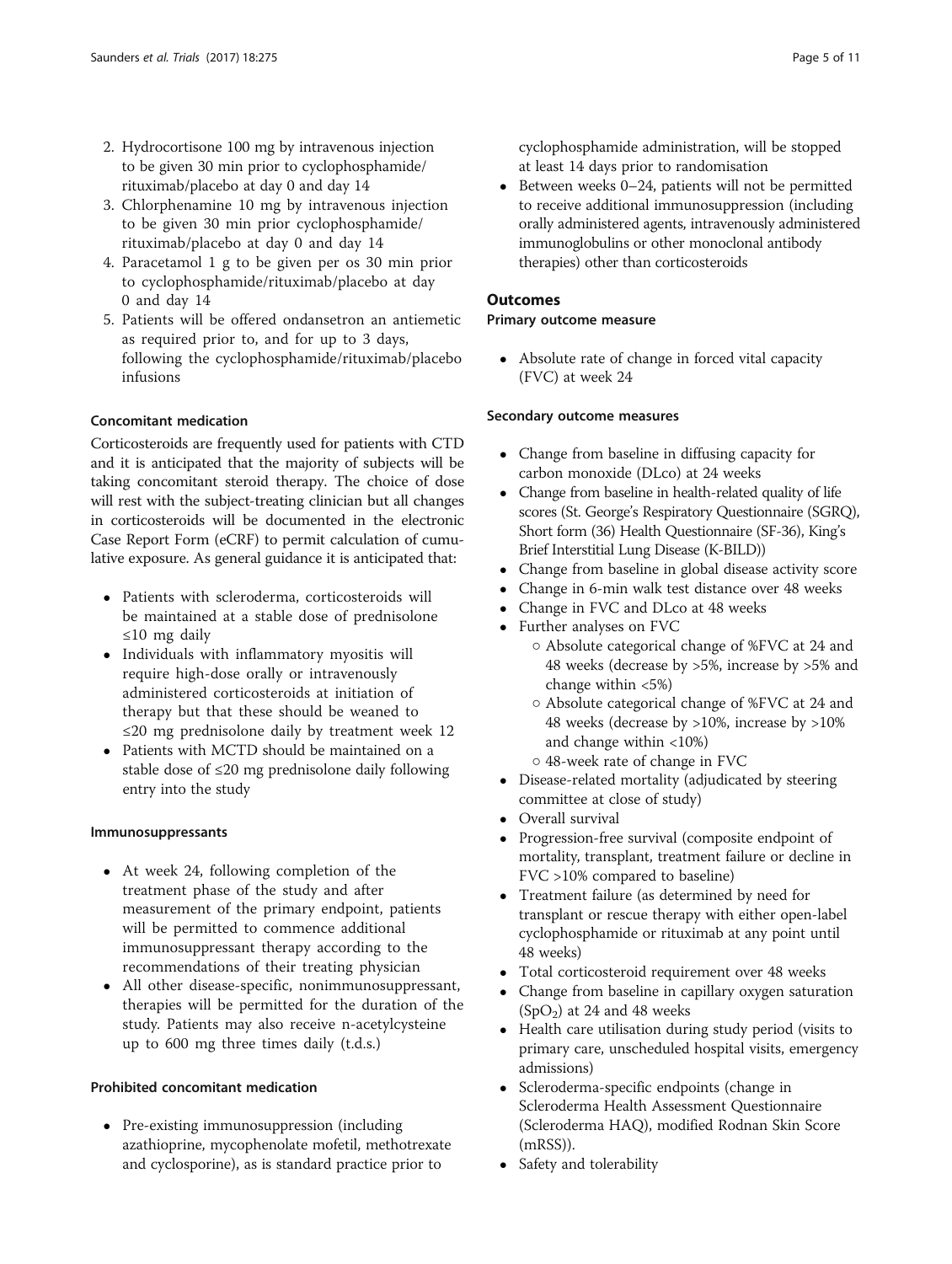- 2. Hydrocortisone 100 mg by intravenous injection to be given 30 min prior to cyclophosphamide/ rituximab/placebo at day 0 and day 14
- 3. Chlorphenamine 10 mg by intravenous injection to be given 30 min prior cyclophosphamide/ rituximab/placebo at day 0 and day 14
- 4. Paracetamol 1 g to be given per os 30 min prior to cyclophosphamide/rituximab/placebo at day 0 and day 14
- 5. Patients will be offered ondansetron an antiemetic as required prior to, and for up to 3 days, following the cyclophosphamide/rituximab/placebo infusions

## Concomitant medication

Corticosteroids are frequently used for patients with CTD and it is anticipated that the majority of subjects will be taking concomitant steroid therapy. The choice of dose will rest with the subject-treating clinician but all changes in corticosteroids will be documented in the electronic Case Report Form (eCRF) to permit calculation of cumulative exposure. As general guidance it is anticipated that:

- Patients with scleroderma, corticosteroids will be maintained at a stable dose of prednisolone ≤10 mg daily
- Individuals with inflammatory myositis will require high-dose orally or intravenously administered corticosteroids at initiation of therapy but that these should be weaned to ≤20 mg prednisolone daily by treatment week 12
- Patients with MCTD should be maintained on a stable dose of  $\leq 20$  mg prednisolone daily following entry into the study

#### Immunosuppressants

- At week 24, following completion of the treatment phase of the study and after measurement of the primary endpoint, patients will be permitted to commence additional immunosuppressant therapy according to the recommendations of their treating physician
- All other disease-specific, nonimmunosuppressant, therapies will be permitted for the duration of the study. Patients may also receive n-acetylcysteine up to 600 mg three times daily (t.d.s.)

## Prohibited concomitant medication

• Pre-existing immunosuppression (including azathioprine, mycophenolate mofetil, methotrexate and cyclosporine), as is standard practice prior to

cyclophosphamide administration, will be stopped at least 14 days prior to randomisation

 $\bullet$  Between weeks 0–24, patients will not be permitted to receive additional immunosuppression (including orally administered agents, intravenously administered immunoglobulins or other monoclonal antibody therapies) other than corticosteroids

#### **Outcomes**

## Primary outcome measure

 Absolute rate of change in forced vital capacity (FVC) at week 24

## Secondary outcome measures

- Change from baseline in diffusing capacity for carbon monoxide (DLco) at 24 weeks
- Change from baseline in health-related quality of life scores (St. George's Respiratory Questionnaire (SGRQ), Short form (36) Health Questionnaire (SF-36), King's Brief Interstitial Lung Disease (K-BILD))
- Change from baseline in global disease activity score
- Change in 6-min walk test distance over 48 weeks
- Change in FVC and DLco at 48 weeks
- Further analyses on FVC
	- Absolute categorical change of %FVC at 24 and 48 weeks (decrease by >5%, increase by >5% and change within <5%)
	- Absolute categorical change of %FVC at 24 and 48 weeks (decrease by >10%, increase by >10% and change within <10%)
	- 48-week rate of change in FVC
- Disease-related mortality (adjudicated by steering committee at close of study)
- Overall survival
- Progression-free survival (composite endpoint of mortality, transplant, treatment failure or decline in FVC >10% compared to baseline)
- Treatment failure (as determined by need for transplant or rescue therapy with either open-label cyclophosphamide or rituximab at any point until 48 weeks)
- Total corticosteroid requirement over 48 weeks
- Change from baseline in capillary oxygen saturation  $(SpO<sub>2</sub>)$  at 24 and 48 weeks
- Health care utilisation during study period (visits to primary care, unscheduled hospital visits, emergency admissions)
- Scleroderma-specific endpoints (change in Scleroderma Health Assessment Questionnaire (Scleroderma HAQ), modified Rodnan Skin Score (mRSS)).
- Safety and tolerability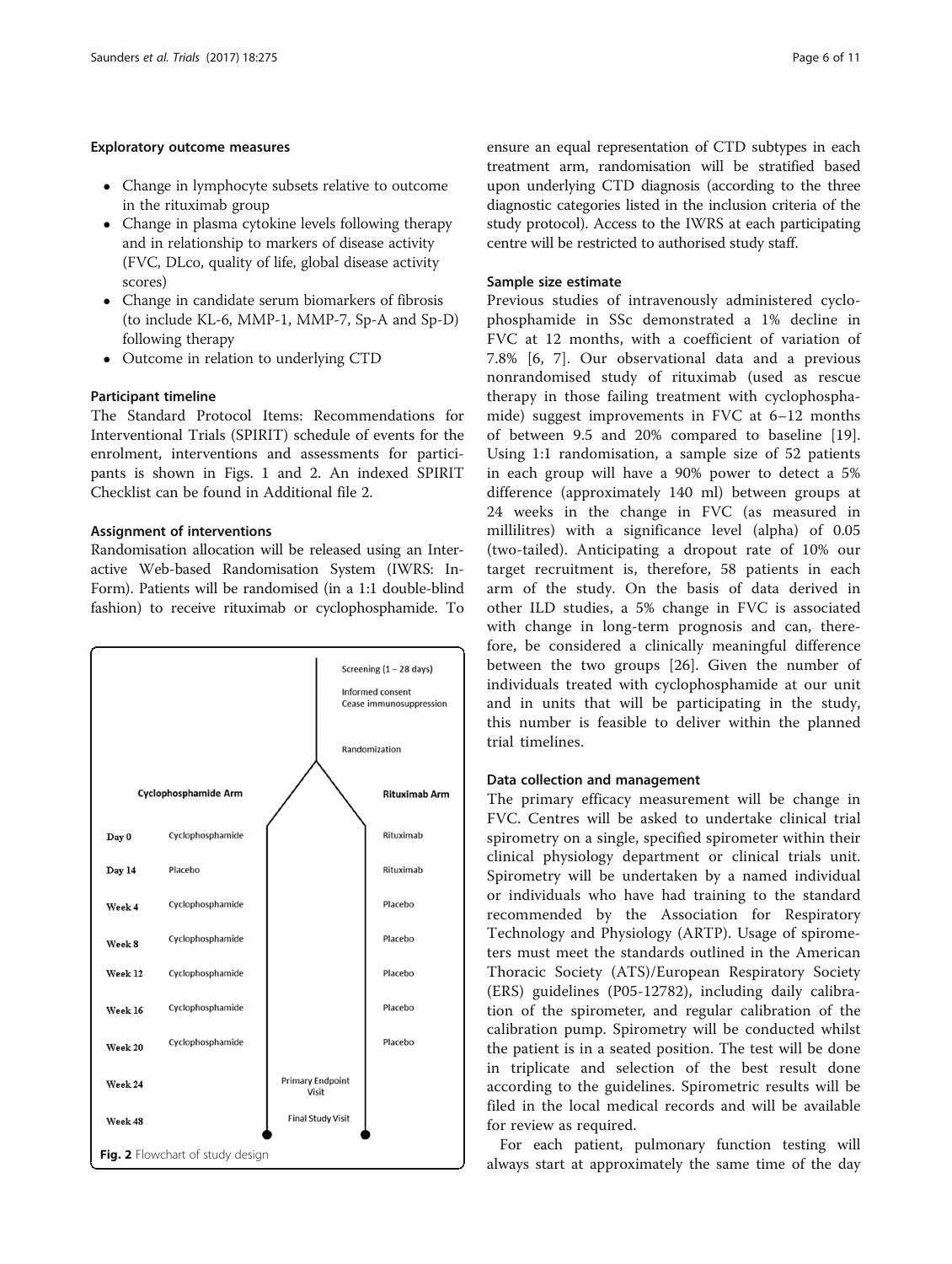## Exploratory outcome measures

- Change in lymphocyte subsets relative to outcome in the rituximab group
- Change in plasma cytokine levels following therapy and in relationship to markers of disease activity (FVC, DLco, quality of life, global disease activity scores)
- Change in candidate serum biomarkers of fibrosis (to include KL-6, MMP-1, MMP-7, Sp-A and Sp-D) following therapy
- Outcome in relation to underlying CTD

## Participant timeline

The Standard Protocol Items: Recommendations for Interventional Trials (SPIRIT) schedule of events for the enrolment, interventions and assessments for participants is shown in Figs. [1](#page-3-0) and 2. An indexed SPIRIT Checklist can be found in Additional file [2](#page-9-0).

## Assignment of interventions

Randomisation allocation will be released using an Interactive Web-based Randomisation System (IWRS: In-Form). Patients will be randomised (in a 1:1 double-blind fashion) to receive rituximab or cyclophosphamide. To



ensure an equal representation of CTD subtypes in each treatment arm, randomisation will be stratified based upon underlying CTD diagnosis (according to the three diagnostic categories listed in the inclusion criteria of the study protocol). Access to the IWRS at each participating centre will be restricted to authorised study staff.

## Sample size estimate

Previous studies of intravenously administered cyclophosphamide in SSc demonstrated a 1% decline in FVC at 12 months, with a coefficient of variation of 7.8% [\[6](#page-10-0), [7](#page-10-0)]. Our observational data and a previous nonrandomised study of rituximab (used as rescue therapy in those failing treatment with cyclophosphamide) suggest improvements in FVC at 6–12 months of between 9.5 and 20% compared to baseline [\[19](#page-10-0)]. Using 1:1 randomisation, a sample size of 52 patients in each group will have a 90% power to detect a 5% difference (approximately 140 ml) between groups at 24 weeks in the change in FVC (as measured in millilitres) with a significance level (alpha) of 0.05 (two-tailed). Anticipating a dropout rate of 10% our target recruitment is, therefore, 58 patients in each arm of the study. On the basis of data derived in other ILD studies, a 5% change in FVC is associated with change in long-term prognosis and can, therefore, be considered a clinically meaningful difference between the two groups [[26\]](#page-10-0). Given the number of individuals treated with cyclophosphamide at our unit and in units that will be participating in the study, this number is feasible to deliver within the planned trial timelines.

#### Data collection and management

The primary efficacy measurement will be change in FVC. Centres will be asked to undertake clinical trial spirometry on a single, specified spirometer within their clinical physiology department or clinical trials unit. Spirometry will be undertaken by a named individual or individuals who have had training to the standard recommended by the Association for Respiratory Technology and Physiology (ARTP). Usage of spirometers must meet the standards outlined in the American Thoracic Society (ATS)/European Respiratory Society (ERS) guidelines (P05-12782), including daily calibration of the spirometer, and regular calibration of the calibration pump. Spirometry will be conducted whilst the patient is in a seated position. The test will be done in triplicate and selection of the best result done according to the guidelines. Spirometric results will be filed in the local medical records and will be available for review as required.

For each patient, pulmonary function testing will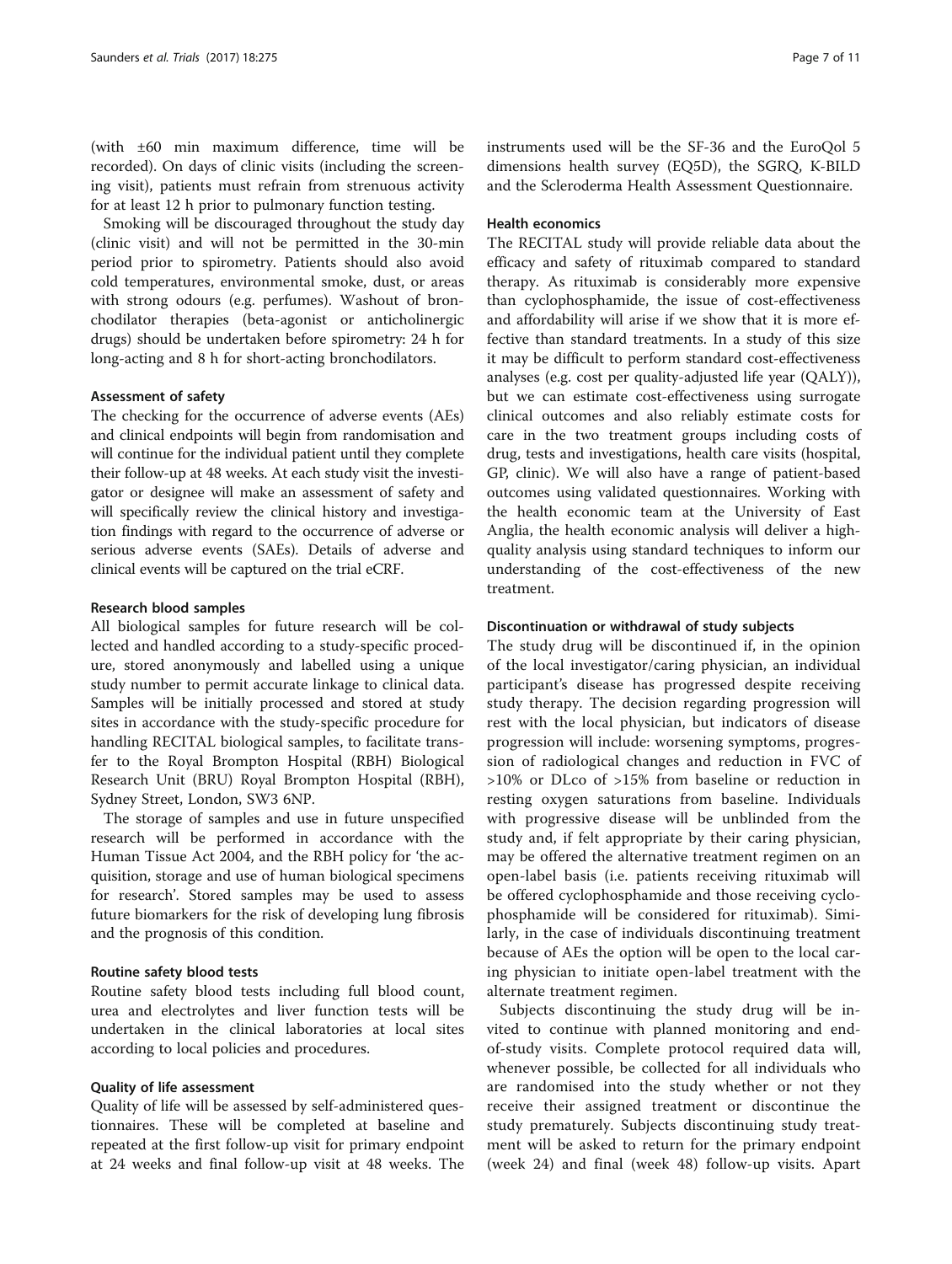(with ±60 min maximum difference, time will be recorded). On days of clinic visits (including the screening visit), patients must refrain from strenuous activity for at least 12 h prior to pulmonary function testing.

Smoking will be discouraged throughout the study day (clinic visit) and will not be permitted in the 30-min period prior to spirometry. Patients should also avoid cold temperatures, environmental smoke, dust, or areas with strong odours (e.g. perfumes). Washout of bronchodilator therapies (beta-agonist or anticholinergic drugs) should be undertaken before spirometry: 24 h for long-acting and 8 h for short-acting bronchodilators.

#### Assessment of safety

The checking for the occurrence of adverse events (AEs) and clinical endpoints will begin from randomisation and will continue for the individual patient until they complete their follow-up at 48 weeks. At each study visit the investigator or designee will make an assessment of safety and will specifically review the clinical history and investigation findings with regard to the occurrence of adverse or serious adverse events (SAEs). Details of adverse and clinical events will be captured on the trial eCRF.

#### Research blood samples

All biological samples for future research will be collected and handled according to a study-specific procedure, stored anonymously and labelled using a unique study number to permit accurate linkage to clinical data. Samples will be initially processed and stored at study sites in accordance with the study-specific procedure for handling RECITAL biological samples, to facilitate transfer to the Royal Brompton Hospital (RBH) Biological Research Unit (BRU) Royal Brompton Hospital (RBH), Sydney Street, London, SW3 6NP.

The storage of samples and use in future unspecified research will be performed in accordance with the Human Tissue Act 2004, and the RBH policy for 'the acquisition, storage and use of human biological specimens for research'. Stored samples may be used to assess future biomarkers for the risk of developing lung fibrosis and the prognosis of this condition.

#### Routine safety blood tests

Routine safety blood tests including full blood count, urea and electrolytes and liver function tests will be undertaken in the clinical laboratories at local sites according to local policies and procedures.

## Quality of life assessment

Quality of life will be assessed by self-administered questionnaires. These will be completed at baseline and repeated at the first follow-up visit for primary endpoint at 24 weeks and final follow-up visit at 48 weeks. The instruments used will be the SF-36 and the EuroQol 5 dimensions health survey (EQ5D), the SGRQ, K-BILD and the Scleroderma Health Assessment Questionnaire.

## Health economics

The RECITAL study will provide reliable data about the efficacy and safety of rituximab compared to standard therapy. As rituximab is considerably more expensive than cyclophosphamide, the issue of cost-effectiveness and affordability will arise if we show that it is more effective than standard treatments. In a study of this size it may be difficult to perform standard cost-effectiveness analyses (e.g. cost per quality-adjusted life year (QALY)), but we can estimate cost-effectiveness using surrogate clinical outcomes and also reliably estimate costs for care in the two treatment groups including costs of drug, tests and investigations, health care visits (hospital, GP, clinic). We will also have a range of patient-based outcomes using validated questionnaires. Working with the health economic team at the University of East Anglia, the health economic analysis will deliver a highquality analysis using standard techniques to inform our understanding of the cost-effectiveness of the new treatment.

#### Discontinuation or withdrawal of study subjects

The study drug will be discontinued if, in the opinion of the local investigator/caring physician, an individual participant's disease has progressed despite receiving study therapy. The decision regarding progression will rest with the local physician, but indicators of disease progression will include: worsening symptoms, progression of radiological changes and reduction in FVC of >10% or DLco of >15% from baseline or reduction in resting oxygen saturations from baseline. Individuals with progressive disease will be unblinded from the study and, if felt appropriate by their caring physician, may be offered the alternative treatment regimen on an open-label basis (i.e. patients receiving rituximab will be offered cyclophosphamide and those receiving cyclophosphamide will be considered for rituximab). Similarly, in the case of individuals discontinuing treatment because of AEs the option will be open to the local caring physician to initiate open-label treatment with the alternate treatment regimen.

Subjects discontinuing the study drug will be invited to continue with planned monitoring and endof-study visits. Complete protocol required data will, whenever possible, be collected for all individuals who are randomised into the study whether or not they receive their assigned treatment or discontinue the study prematurely. Subjects discontinuing study treatment will be asked to return for the primary endpoint (week 24) and final (week 48) follow-up visits. Apart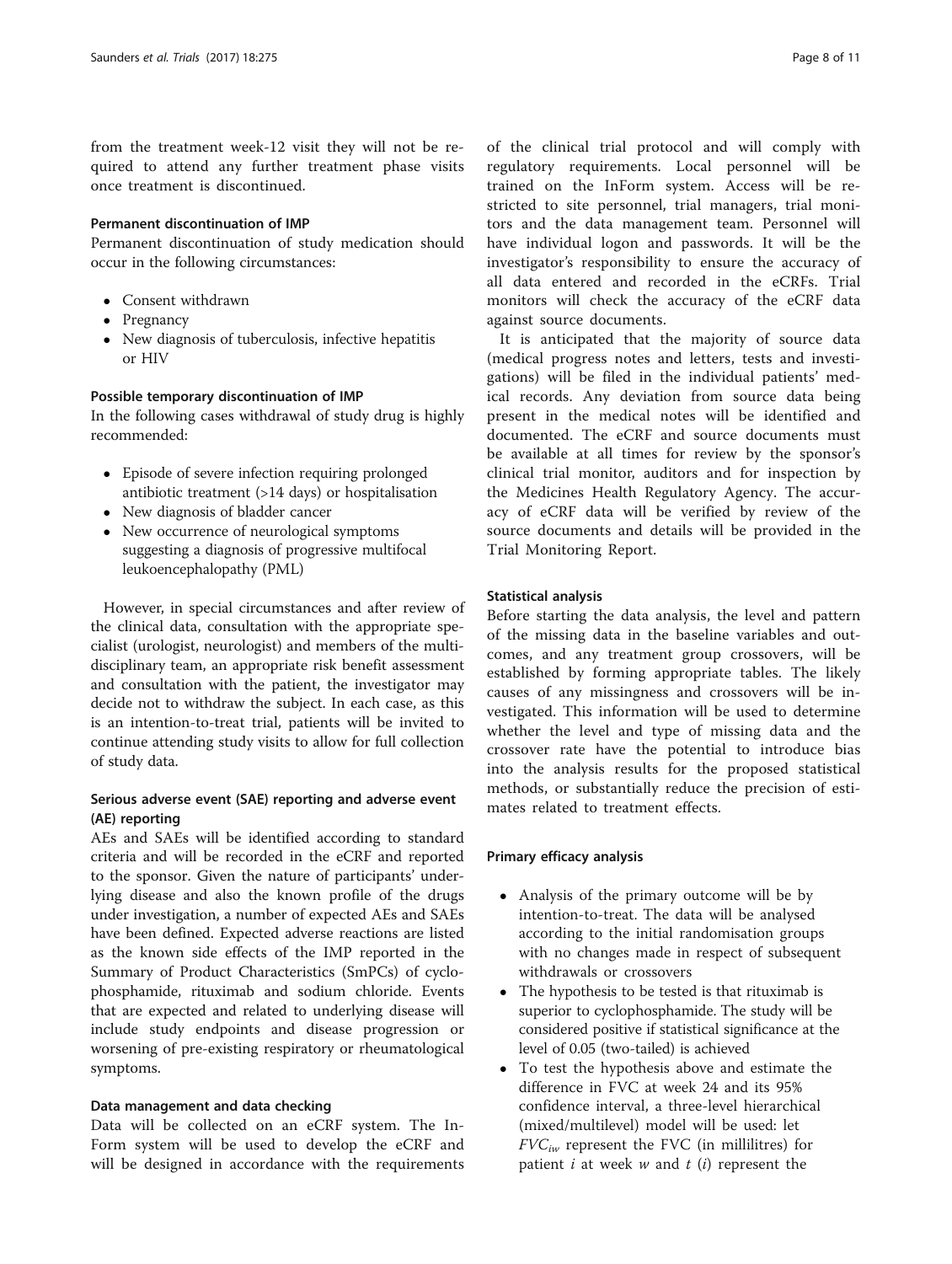from the treatment week-12 visit they will not be required to attend any further treatment phase visits once treatment is discontinued.

#### Permanent discontinuation of IMP

Permanent discontinuation of study medication should occur in the following circumstances:

- Consent withdrawn
- Pregnancy
- New diagnosis of tuberculosis, infective hepatitis or HIV

## Possible temporary discontinuation of IMP

In the following cases withdrawal of study drug is highly recommended:

- Episode of severe infection requiring prolonged antibiotic treatment (>14 days) or hospitalisation
- New diagnosis of bladder cancer
- New occurrence of neurological symptoms suggesting a diagnosis of progressive multifocal leukoencephalopathy (PML)

However, in special circumstances and after review of the clinical data, consultation with the appropriate specialist (urologist, neurologist) and members of the multidisciplinary team, an appropriate risk benefit assessment and consultation with the patient, the investigator may decide not to withdraw the subject. In each case, as this is an intention-to-treat trial, patients will be invited to continue attending study visits to allow for full collection of study data.

## Serious adverse event (SAE) reporting and adverse event (AE) reporting

AEs and SAEs will be identified according to standard criteria and will be recorded in the eCRF and reported to the sponsor. Given the nature of participants' underlying disease and also the known profile of the drugs under investigation, a number of expected AEs and SAEs have been defined. Expected adverse reactions are listed as the known side effects of the IMP reported in the Summary of Product Characteristics (SmPCs) of cyclophosphamide, rituximab and sodium chloride. Events that are expected and related to underlying disease will include study endpoints and disease progression or worsening of pre-existing respiratory or rheumatological symptoms.

## Data management and data checking

Data will be collected on an eCRF system. The In-Form system will be used to develop the eCRF and will be designed in accordance with the requirements

of the clinical trial protocol and will comply with regulatory requirements. Local personnel will be trained on the InForm system. Access will be restricted to site personnel, trial managers, trial monitors and the data management team. Personnel will have individual logon and passwords. It will be the investigator's responsibility to ensure the accuracy of all data entered and recorded in the eCRFs. Trial monitors will check the accuracy of the eCRF data against source documents.

It is anticipated that the majority of source data (medical progress notes and letters, tests and investigations) will be filed in the individual patients' medical records. Any deviation from source data being present in the medical notes will be identified and documented. The eCRF and source documents must be available at all times for review by the sponsor's clinical trial monitor, auditors and for inspection by the Medicines Health Regulatory Agency. The accuracy of eCRF data will be verified by review of the source documents and details will be provided in the Trial Monitoring Report.

## Statistical analysis

Before starting the data analysis, the level and pattern of the missing data in the baseline variables and outcomes, and any treatment group crossovers, will be established by forming appropriate tables. The likely causes of any missingness and crossovers will be investigated. This information will be used to determine whether the level and type of missing data and the crossover rate have the potential to introduce bias into the analysis results for the proposed statistical methods, or substantially reduce the precision of estimates related to treatment effects.

#### Primary efficacy analysis

- Analysis of the primary outcome will be by intention-to-treat. The data will be analysed according to the initial randomisation groups with no changes made in respect of subsequent withdrawals or crossovers
- The hypothesis to be tested is that rituximab is superior to cyclophosphamide. The study will be considered positive if statistical significance at the level of 0.05 (two-tailed) is achieved
- To test the hypothesis above and estimate the difference in FVC at week 24 and its 95% confidence interval, a three-level hierarchical (mixed/multilevel) model will be used: let  $FVC_{iw}$  represent the FVC (in millilitres) for patient  $i$  at week  $w$  and  $t$  (i) represent the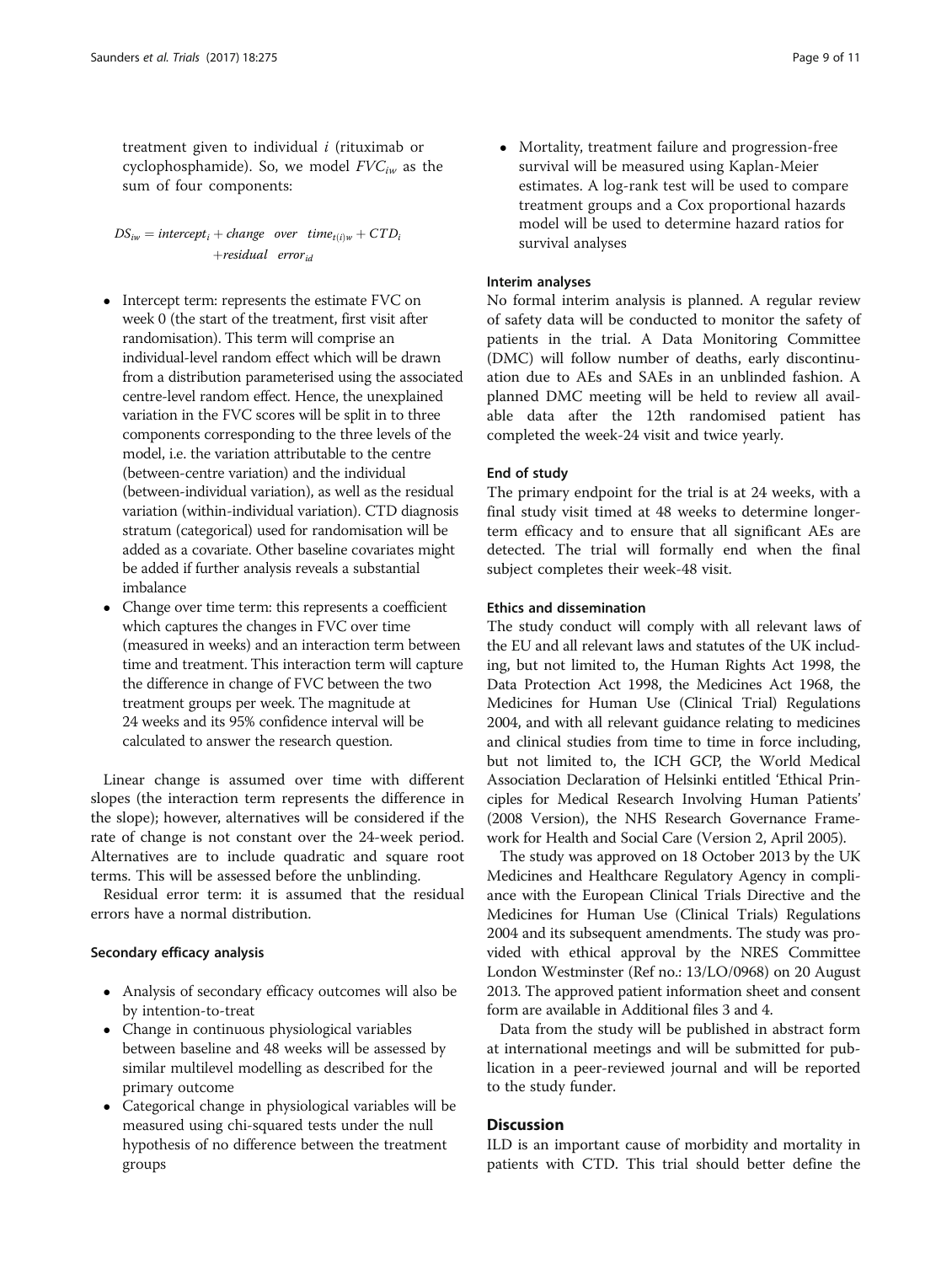treatment given to individual  $i$  (rituximab or cyclophosphamide). So, we model  $FVC_{iw}$  as the sum of four components:

 $DS_{iw} = intercept_i + change$  over time<sub>t(i)w</sub> + CTD<sub>i</sub>  $+residual$  error<sub>id</sub>

- Intercept term: represents the estimate FVC on week 0 (the start of the treatment, first visit after randomisation). This term will comprise an individual-level random effect which will be drawn from a distribution parameterised using the associated centre-level random effect. Hence, the unexplained variation in the FVC scores will be split in to three components corresponding to the three levels of the model, i.e. the variation attributable to the centre (between-centre variation) and the individual (between-individual variation), as well as the residual variation (within-individual variation). CTD diagnosis stratum (categorical) used for randomisation will be added as a covariate. Other baseline covariates might be added if further analysis reveals a substantial imbalance
- Change over time term: this represents a coefficient which captures the changes in FVC over time (measured in weeks) and an interaction term between time and treatment. This interaction term will capture the difference in change of FVC between the two treatment groups per week. The magnitude at 24 weeks and its 95% confidence interval will be calculated to answer the research question.

Linear change is assumed over time with different slopes (the interaction term represents the difference in the slope); however, alternatives will be considered if the rate of change is not constant over the 24-week period. Alternatives are to include quadratic and square root terms. This will be assessed before the unblinding.

Residual error term: it is assumed that the residual errors have a normal distribution.

#### Secondary efficacy analysis

- Analysis of secondary efficacy outcomes will also be by intention-to-treat
- Change in continuous physiological variables between baseline and 48 weeks will be assessed by similar multilevel modelling as described for the primary outcome
- Categorical change in physiological variables will be measured using chi-squared tests under the null hypothesis of no difference between the treatment groups

 Mortality, treatment failure and progression-free survival will be measured using Kaplan-Meier estimates. A log-rank test will be used to compare treatment groups and a Cox proportional hazards model will be used to determine hazard ratios for survival analyses

#### Interim analyses

No formal interim analysis is planned. A regular review of safety data will be conducted to monitor the safety of patients in the trial. A Data Monitoring Committee (DMC) will follow number of deaths, early discontinuation due to AEs and SAEs in an unblinded fashion. A planned DMC meeting will be held to review all available data after the 12th randomised patient has completed the week-24 visit and twice yearly.

#### End of study

The primary endpoint for the trial is at 24 weeks, with a final study visit timed at 48 weeks to determine longerterm efficacy and to ensure that all significant AEs are detected. The trial will formally end when the final subject completes their week-48 visit.

#### Ethics and dissemination

The study conduct will comply with all relevant laws of the EU and all relevant laws and statutes of the UK including, but not limited to, the Human Rights Act 1998, the Data Protection Act 1998, the Medicines Act 1968, the Medicines for Human Use (Clinical Trial) Regulations 2004, and with all relevant guidance relating to medicines and clinical studies from time to time in force including, but not limited to, the ICH GCP, the World Medical Association Declaration of Helsinki entitled 'Ethical Principles for Medical Research Involving Human Patients' (2008 Version), the NHS Research Governance Framework for Health and Social Care (Version 2, April 2005).

The study was approved on 18 October 2013 by the UK Medicines and Healthcare Regulatory Agency in compliance with the European Clinical Trials Directive and the Medicines for Human Use (Clinical Trials) Regulations 2004 and its subsequent amendments. The study was provided with ethical approval by the NRES Committee London Westminster (Ref no.: 13/LO/0968) on 20 August 2013. The approved patient information sheet and consent form are available in Additional files [3](#page-9-0) and [4.](#page-9-0)

Data from the study will be published in abstract form at international meetings and will be submitted for publication in a peer-reviewed journal and will be reported to the study funder.

## **Discussion**

ILD is an important cause of morbidity and mortality in patients with CTD. This trial should better define the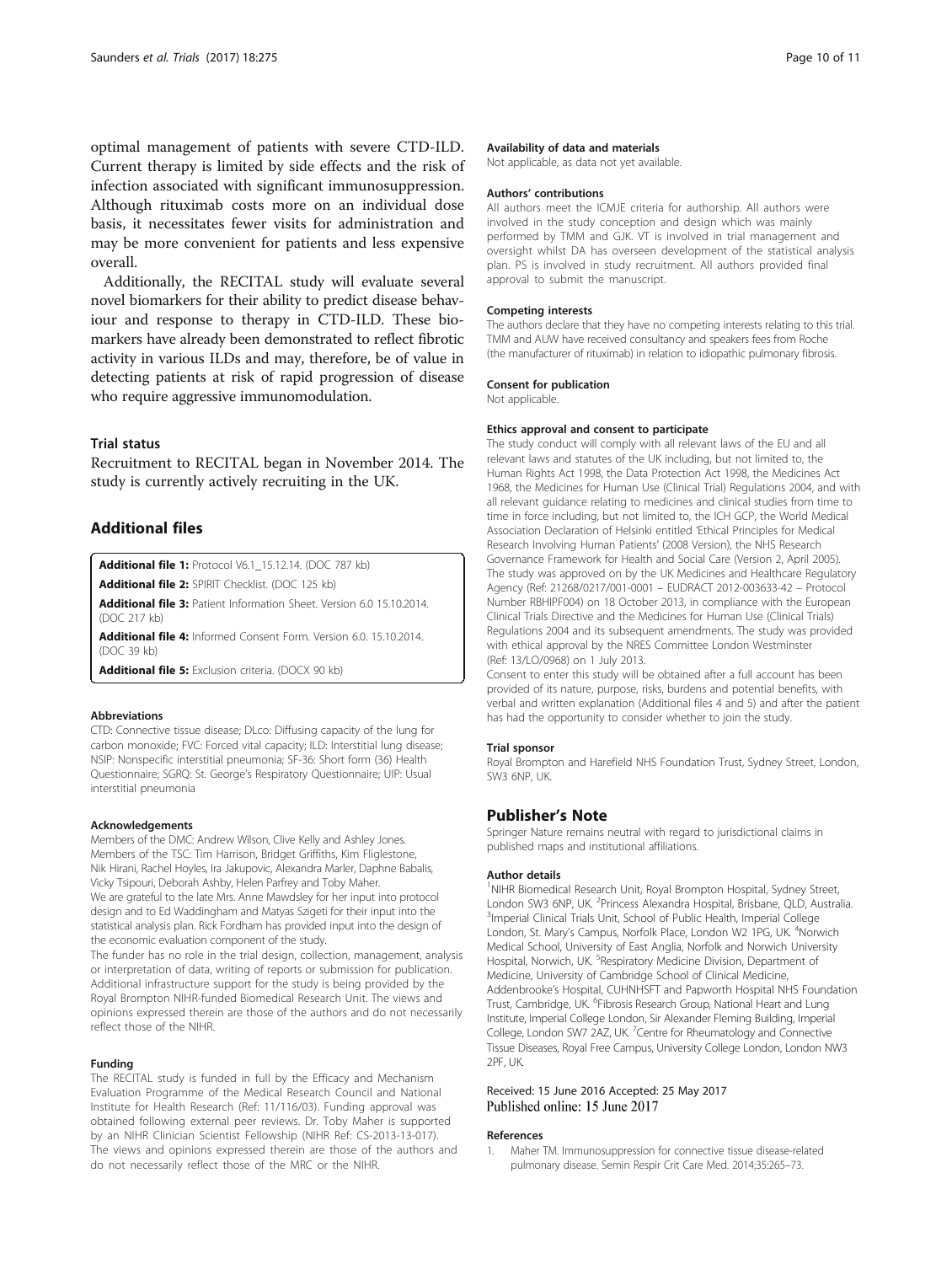<span id="page-9-0"></span>optimal management of patients with severe CTD-ILD. Current therapy is limited by side effects and the risk of infection associated with significant immunosuppression. Although rituximab costs more on an individual dose basis, it necessitates fewer visits for administration and may be more convenient for patients and less expensive overall.

Additionally, the RECITAL study will evaluate several novel biomarkers for their ability to predict disease behaviour and response to therapy in CTD-ILD. These biomarkers have already been demonstrated to reflect fibrotic activity in various ILDs and may, therefore, be of value in detecting patients at risk of rapid progression of disease who require aggressive immunomodulation.

#### Trial status

Recruitment to RECITAL began in November 2014. The study is currently actively recruiting in the UK.

## Additional files

[Additional file 1:](dx.doi.org/10.1186/s13063-017-2016-2) Protocol V6.1\_15.12.14. (DOC 787 kb)

[Additional file 2:](dx.doi.org/10.1186/s13063-017-2016-2) SPIRIT Checklist. (DOC 125 kb)

[Additional file 3:](dx.doi.org/10.1186/s13063-017-2016-2) Patient Information Sheet. Version 6.0 15.10.2014. (DOC 217 kb)

[Additional file 4:](dx.doi.org/10.1186/s13063-017-2016-2) Informed Consent Form. Version 6.0. 15.10.2014. (DOC 39 kb)

[Additional file 5:](dx.doi.org/10.1186/s13063-017-2016-2) Exclusion criteria. (DOCX 90 kb)

#### Abbreviations

CTD: Connective tissue disease; DLco: Diffusing capacity of the lung for carbon monoxide; FVC: Forced vital capacity; ILD: Interstitial lung disease; NSIP: Nonspecific interstitial pneumonia; SF-36: Short form (36) Health Questionnaire; SGRQ: St. George's Respiratory Questionnaire; UIP: Usual interstitial pneumonia

#### Acknowledgements

Members of the DMC: Andrew Wilson, Clive Kelly and Ashley Jones. Members of the TSC: Tim Harrison, Bridget Griffiths, Kim Fliglestone, Nik Hirani, Rachel Hoyles, Ira Jakupovic, Alexandra Marler, Daphne Babalis, Vicky Tsipouri, Deborah Ashby, Helen Parfrey and Toby Maher. We are grateful to the late Mrs. Anne Mawdsley for her input into protocol design and to Ed Waddingham and Matyas Szigeti for their input into the statistical analysis plan. Rick Fordham has provided input into the design of the economic evaluation component of the study.

The funder has no role in the trial design, collection, management, analysis or interpretation of data, writing of reports or submission for publication. Additional infrastructure support for the study is being provided by the Royal Brompton NIHR-funded Biomedical Research Unit. The views and opinions expressed therein are those of the authors and do not necessarily reflect those of the NIHR.

#### Funding

The RECITAL study is funded in full by the Efficacy and Mechanism Evaluation Programme of the Medical Research Council and National Institute for Health Research (Ref: 11/116/03). Funding approval was obtained following external peer reviews. Dr. Toby Maher is supported by an NIHR Clinician Scientist Fellowship (NIHR Ref: CS-2013-13-017). The views and opinions expressed therein are those of the authors and do not necessarily reflect those of the MRC or the NIHR.

#### Availability of data and materials

Not applicable, as data not yet available.

#### Authors' contributions

All authors meet the ICMJE criteria for authorship. All authors were involved in the study conception and design which was mainly performed by TMM and GJK. VT is involved in trial management and oversight whilst DA has overseen development of the statistical analysis plan. PS is involved in study recruitment. All authors provided final approval to submit the manuscript.

#### Competing interests

The authors declare that they have no competing interests relating to this trial. TMM and AUW have received consultancy and speakers fees from Roche (the manufacturer of rituximab) in relation to idiopathic pulmonary fibrosis.

#### Consent for publication

Not applicable.

#### Ethics approval and consent to participate

The study conduct will comply with all relevant laws of the EU and all relevant laws and statutes of the UK including, but not limited to, the Human Rights Act 1998, the Data Protection Act 1998, the Medicines Act 1968, the Medicines for Human Use (Clinical Trial) Regulations 2004, and with all relevant guidance relating to medicines and clinical studies from time to time in force including, but not limited to, the ICH GCP, the World Medical Association Declaration of Helsinki entitled 'Ethical Principles for Medical Research Involving Human Patients' (2008 Version), the NHS Research Governance Framework for Health and Social Care (Version 2, April 2005). The study was approved on by the UK Medicines and Healthcare Regulatory Agency (Ref: 21268/0217/001-0001 – EUDRACT 2012-003633-42 – Protocol Number RBHIPF004) on 18 October 2013, in compliance with the European Clinical Trials Directive and the Medicines for Human Use (Clinical Trials) Regulations 2004 and its subsequent amendments. The study was provided with ethical approval by the NRES Committee London Westminster (Ref: 13/LO/0968) on 1 July 2013.

Consent to enter this study will be obtained after a full account has been provided of its nature, purpose, risks, burdens and potential benefits, with verbal and written explanation (Additional files 4 and 5) and after the patient has had the opportunity to consider whether to join the study.

#### Trial sponsor

Royal Brompton and Harefield NHS Foundation Trust, Sydney Street, London, SW3 6NP, UK.

#### Publisher's Note

Springer Nature remains neutral with regard to jurisdictional claims in published maps and institutional affiliations.

#### Author details

<sup>1</sup>NIHR Biomedical Research Unit, Royal Brompton Hospital, Sydney Street London SW3 6NP, UK. <sup>2</sup>Princess Alexandra Hospital, Brisbane, QLD, Australia.<br><sup>3</sup>Importal Clinical Trials Unit, School of Bublic Hoalth Importal Collogo. <sup>3</sup>Imperial Clinical Trials Unit, School of Public Health, Imperial College London, St. Mary's Campus, Norfolk Place, London W2 1PG, UK. <sup>4</sup>Norwich Medical School, University of East Anglia, Norfolk and Norwich University Hospital, Norwich, UK. <sup>5</sup>Respiratory Medicine Division, Department of Medicine, University of Cambridge School of Clinical Medicine, Addenbrooke's Hospital, CUHNHSFT and Papworth Hospital NHS Foundation Trust, Cambridge, UK. <sup>6</sup>Fibrosis Research Group, National Heart and Lung Institute, Imperial College London, Sir Alexander Fleming Building, Imperial College, London SW7 2AZ, UK.<sup>7</sup> Centre for Rheumatology and Connective Tissue Diseases, Royal Free Campus, University College London, London NW3 2PF, UK.

#### Received: 15 June 2016 Accepted: 25 May 2017 Published online: 15 June 2017

#### References

1. Maher TM. Immunosuppression for connective tissue disease-related pulmonary disease. Semin Respir Crit Care Med. 2014;35:265–73.